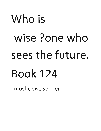## Who is wise ?one who sees the future. Book 124

moshe siselsender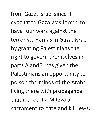**from Gaza. Israel since it evacuated Gaza was forced to**  have four wars against the **terrorists Hamas in Gaza. Israel by granting Palestinians the**  right to govern themselves in **parts A andB has given the**  Palestinians an opportunity to poison the minds of the Arabs living there with propaganda **that makes it a Mitzva a sacrament to hate and kill Jews.**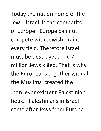Today the nation home of the Jew Israel is the competitor of Europe. Europe can not compete with Jewish brains in every field. Therefore Israel **must be destroyed. The 7 million Jews killed. That is why**  the Europeans together with all **the Muslims created the** 

**non ever existent Palestinian**  hoax. Palestinians in Israel came after Jews from Europe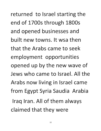returned to Israel starting the end of 1700s through 1800s and opened businesses and **built new towns. It wsa then that the Arabs came to seek employment opportunities**  opened up by the new wave of **Jews who came to Israel. All the Arabs now living in Israel came**  from Egypt Syria Saudia Arabia Iraq Iran. All of them always claimed that they were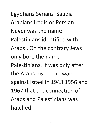Egyptians Syrians Saudia Arabians Iraqis or Persian. Never was the name Palestinians identified with Arabs. On the contrary Jews only bore the name Palestinians. It was only after the Arabs lost the wars against Israel in 1948 1956 and 1967 that the connection of Arabs and Palestinians was hatched.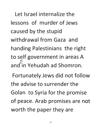**Let Israel internalize the lessons of murder of Jews caused by the stupid withdrawal from Gaza and**  handing Palestinians the right **to self government in areas A**  and in Yehudah ad Shomron.

Fortunately Jews did not follow **the advise to surrender the**  Golan to Syria for the promise **of peace. Arab promises are not**  worth the paper they are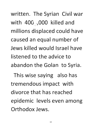written. The Syrian Civil war **with** 400 /,000 **killed and**  millions displaced could have **caused an equal number of Jews killed would Israel have listened to the advice to**  abandon the Golan to Syria.

**This wise saying also has**  tremendous impact with **divorce that has reached**  epidemic levels even among **Orthodox Jews.**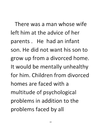There was a man whose wife left him at the advice of her parents. He had an infant son. He did not want his son to grow up from a divorced home. It would be mentally unhealthy for him. Children from divorced homes are faced with a multitude of psychological problems in addition to the problems faced by all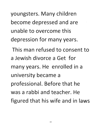youngsters. Many children become depressed and are **unable to overcome this**  depression for many years.

**This man refused to consent to a Jewish divorce a Get for many years. He enrolled in a**  university became a professional. Before that he **was a rabbi and teacher. He**  figured that his wife and in laws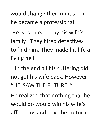would change their minds once he became a professional.

He was pursued by his wife's family. They hired detectives to find him. They made his life a living hell.

In the end all his suffering did not get his wife back. However "HE SAW THE FUTURE ."

He realized that nothing that he would do would win his wife's affections and have her return.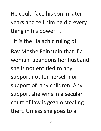**He could face his son in later**  years and tell him he did every thing in his power .

It is the Halachic ruling of **Rav Moshe Feinstein that if a woman abandons her husband she is not entitled to any**  support not for herself nor support of any children. Any **support she wins in a secular**  court of law is gezalo stealing theft. Unless she goes to a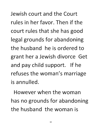**Jewish court and the Court rules in her favor. Then if the**  court rules that she has good legal grounds for abandoning **the husband he is ordered to grant her a Jewish divorce Get and pay child support. If he**  refuses the woman's marriage **is annulled.** 

**However when the woman**  has no grounds for abandoning **the husband the woman is**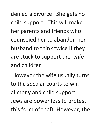denied a divorce. She gets no child support. This will make her parents and friends who **counseled her to abandon her husband to think twice if they**  are stuck to support the wife **and children.** 

However the wife usually turns **to the secular courts to** 'win **alimony and child support.**  Jews are power less to protest **this form of theft. However, the**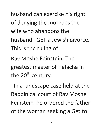husband can exercise his right of denying the moredes the **wife who abandons the husband** GET **a Jewish divorce.**  This is the ruling of **Rav Moshe Feinstein. The greatest master of Halacha in**  the  $20<sup>th</sup>$  century.

In a landscape case held at the **Rabbinical court of Rav Moshe Feinstein he ordered the father**  of the woman seeking a Get to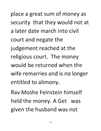place a great sum of money as security that they would not at **a later date march into civil**  court and negate the judgement reached at the **religious court. The money would be returned when the wife remarries and is no longer**  entitled to alimony.

**Rav Moshe Feinstein himself**  held the money. A Get was **given the husband was not**